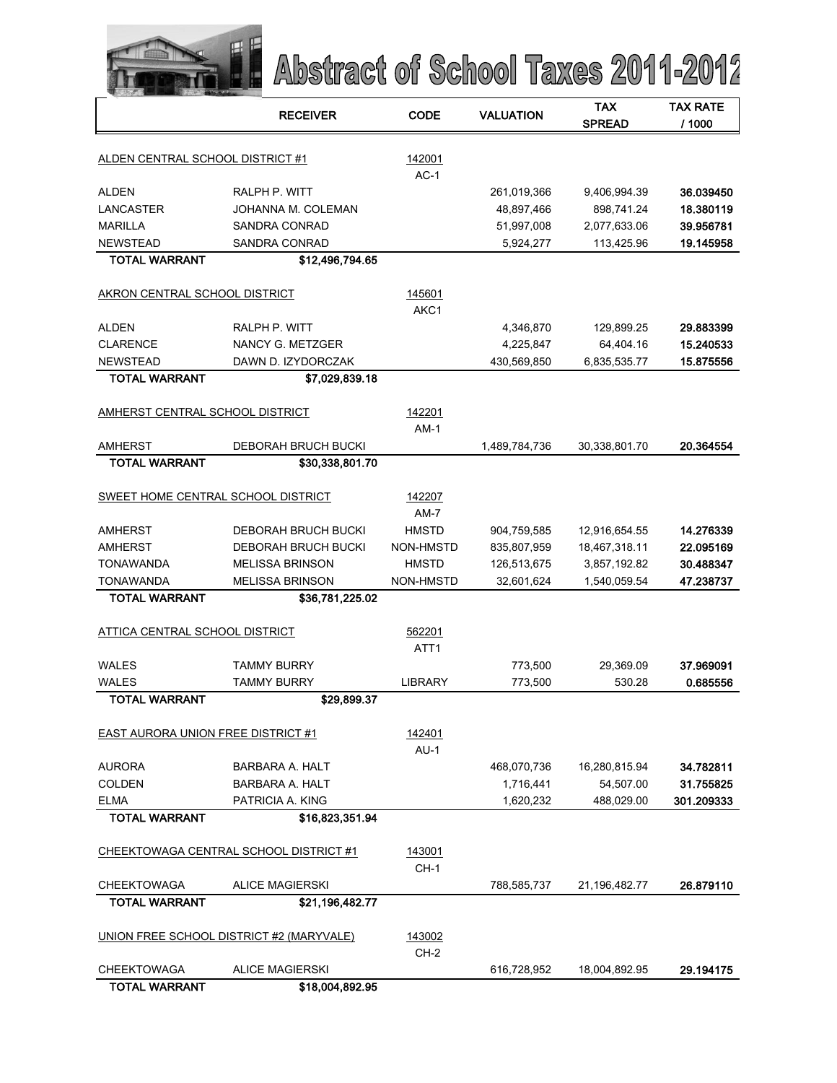|                                    | Abstract of School Taxes 2011-2012       |                            |                  |                             |                           |
|------------------------------------|------------------------------------------|----------------------------|------------------|-----------------------------|---------------------------|
|                                    | <b>RECEIVER</b>                          | CODE                       | <b>VALUATION</b> | <b>TAX</b><br><b>SPREAD</b> | <b>TAX RATE</b><br>/ 1000 |
| ALDEN CENTRAL SCHOOL DISTRICT #1   |                                          | 142001<br>$AC-1$           |                  |                             |                           |
| <b>ALDEN</b>                       | RALPH P. WITT                            |                            | 261,019,366      | 9,406,994.39                | 36.039450                 |
| <b>LANCASTER</b>                   | JOHANNA M. COLEMAN                       |                            | 48,897,466       | 898,741.24                  | 18.380119                 |
| <b>MARILLA</b>                     | <b>SANDRA CONRAD</b>                     |                            | 51,997,008       | 2,077,633.06                | 39.956781                 |
| <b>NEWSTEAD</b>                    | <b>SANDRA CONRAD</b>                     |                            | 5,924,277        | 113,425.96                  | 19.145958                 |
| <b>TOTAL WARRANT</b>               | \$12,496,794.65                          |                            |                  |                             |                           |
| AKRON CENTRAL SCHOOL DISTRICT      |                                          | 145601<br>AKC1             |                  |                             |                           |
| <b>ALDEN</b>                       | RALPH P. WITT                            |                            | 4,346,870        | 129,899.25                  | 29.883399                 |
| <b>CLARENCE</b>                    | NANCY G. METZGER                         |                            | 4,225,847        | 64,404.16                   | 15.240533                 |
| <b>NEWSTEAD</b>                    | DAWN D. IZYDORCZAK                       |                            | 430,569,850      | 6,835,535.77                | 15.875556                 |
| <b>TOTAL WARRANT</b>               | \$7,029,839.18                           |                            |                  |                             |                           |
| AMHERST CENTRAL SCHOOL DISTRICT    |                                          | 142201<br>$AM-1$           |                  |                             |                           |
| <b>AMHERST</b>                     | <b>DEBORAH BRUCH BUCKI</b>               |                            | 1,489,784,736    | 30,338,801.70               | 20.364554                 |
| <b>TOTAL WARRANT</b>               | \$30,338,801.70                          |                            |                  |                             |                           |
| SWEET HOME CENTRAL SCHOOL DISTRICT |                                          | 142207<br>$AM-7$           |                  |                             |                           |
| AMHERST                            | DEBORAH BRUCH BUCKI                      | <b>HMSTD</b>               | 904,759,585      | 12,916,654.55               | 14.276339                 |
| AMHERST                            | DEBORAH BRUCH BUCKI                      | NON-HMSTD                  | 835,807,959      | 18,467,318.11               | 22.095169                 |
| <b>TONAWANDA</b>                   | <b>MELISSA BRINSON</b>                   | <b>HMSTD</b>               | 126,513,675      | 3,857,192.82                | 30.488347                 |
| <b>TONAWANDA</b>                   | <b>MELISSA BRINSON</b>                   | NON-HMSTD                  | 32,601,624       | 1,540,059.54                | 47.238737                 |
| <b>TOTAL WARRANT</b>               | \$36,781,225.02                          |                            |                  |                             |                           |
| ATTICA CENTRAL SCHOOL DISTRICT     |                                          | 562201<br>ATT <sub>1</sub> |                  |                             |                           |
| <b>WALES</b>                       | <b>TAMMY BURRY</b>                       |                            | 773,500          | 29,369.09                   | 37.969091                 |
| <b>WALES</b>                       | <b>TAMMY BURRY</b>                       | LIBRARY                    | 773,500          | 530.28                      | 0.685556                  |
| <b>TOTAL WARRANT</b>               | \$29,899.37                              |                            |                  |                             |                           |
| EAST AURORA UNION FREE DISTRICT #1 |                                          | 142401<br>$AU-1$           |                  |                             |                           |
| <b>AURORA</b>                      | BARBARA A. HALT                          |                            | 468,070,736      | 16,280,815.94               | 34.782811                 |
| <b>COLDEN</b>                      | BARBARA A. HALT                          |                            | 1,716,441        | 54,507.00                   | 31.755825                 |
| <b>ELMA</b>                        | PATRICIA A. KING                         |                            | 1,620,232        | 488,029.00                  | 301.209333                |
| <b>TOTAL WARRANT</b>               | \$16,823,351.94                          |                            |                  |                             |                           |
|                                    | CHEEKTOWAGA CENTRAL SCHOOL DISTRICT #1   | 143001<br>$CH-1$           |                  |                             |                           |
| <b>CHEEKTOWAGA</b>                 | <b>ALICE MAGIERSKI</b>                   |                            | 788,585,737      | 21,196,482.77               | 26.879110                 |
| <b>TOTAL WARRANT</b>               | \$21,196,482.77                          |                            |                  |                             |                           |
|                                    | UNION FREE SCHOOL DISTRICT #2 (MARYVALE) | 143002<br>CH-2             |                  |                             |                           |
| <b>CHEEKTOWAGA</b>                 | <b>ALICE MAGIERSKI</b>                   |                            | 616,728,952      | 18,004,892.95               | 29.194175                 |
| <b>TOTAL WARRANT</b>               | \$18,004,892.95                          |                            |                  |                             |                           |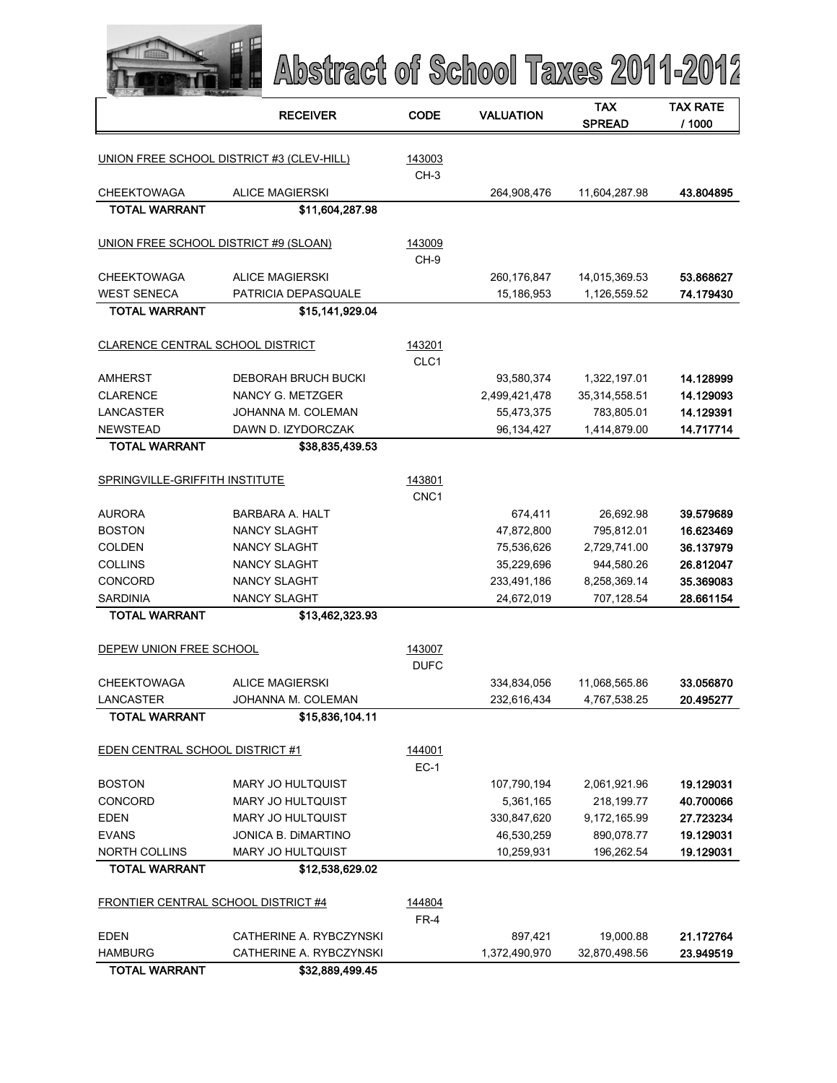|                                        | Abstract of School Taxes 2011-2012        |                            |                  |                             |                           |
|----------------------------------------|-------------------------------------------|----------------------------|------------------|-----------------------------|---------------------------|
|                                        | <b>RECEIVER</b>                           | <b>CODE</b>                | <b>VALUATION</b> | <b>TAX</b><br><b>SPREAD</b> | <b>TAX RATE</b><br>/ 1000 |
|                                        | UNION FREE SCHOOL DISTRICT #3 (CLEV-HILL) | 143003<br>CH-3             |                  |                             |                           |
| <b>CHEEKTOWAGA</b>                     | <b>ALICE MAGIERSKI</b>                    |                            | 264,908,476      | 11,604,287.98               | 43.804895                 |
| <b>TOTAL WARRANT</b>                   | \$11,604,287.98                           |                            |                  |                             |                           |
| UNION FREE SCHOOL DISTRICT #9 (SLOAN)  |                                           | 143009<br>CH-9             |                  |                             |                           |
| <b>CHEEKTOWAGA</b>                     | <b>ALICE MAGIERSKI</b>                    |                            | 260,176,847      | 14,015,369.53               | 53.868627                 |
| <b>WEST SENECA</b>                     | PATRICIA DEPASQUALE                       |                            | 15,186,953       | 1,126,559.52                | 74.179430                 |
| <b>TOTAL WARRANT</b>                   | \$15,141,929.04                           |                            |                  |                             |                           |
| CLARENCE CENTRAL SCHOOL DISTRICT       |                                           | 143201<br>CLC <sub>1</sub> |                  |                             |                           |
| <b>AMHERST</b>                         | <b>DEBORAH BRUCH BUCKI</b>                |                            | 93,580,374       | 1,322,197.01                | 14.128999                 |
| <b>CLARENCE</b>                        | NANCY G. METZGER                          |                            | 2,499,421,478    | 35,314,558.51               | 14.129093                 |
| <b>LANCASTER</b>                       | JOHANNA M. COLEMAN                        |                            | 55,473,375       | 783,805.01                  | 14.129391                 |
| <b>NEWSTEAD</b>                        | DAWN D. IZYDORCZAK                        |                            | 96,134,427       | 1,414,879.00                | 14.717714                 |
| <b>TOTAL WARRANT</b>                   | \$38,835,439.53                           |                            |                  |                             |                           |
| SPRINGVILLE-GRIFFITH INSTITUTE         |                                           | 143801<br>CNC <sub>1</sub> |                  |                             |                           |
| <b>AURORA</b>                          | <b>BARBARA A. HALT</b>                    |                            | 674,411          | 26,692.98                   | 39.579689                 |
| <b>BOSTON</b>                          | <b>NANCY SLAGHT</b>                       |                            | 47,872,800       | 795,812.01                  | 16.623469                 |
| <b>COLDEN</b>                          | <b>NANCY SLAGHT</b>                       |                            | 75,536,626       | 2,729,741.00                | 36.137979                 |
| <b>COLLINS</b>                         | <b>NANCY SLAGHT</b>                       |                            | 35,229,696       | 944,580.26                  | 26.812047                 |
| <b>CONCORD</b>                         | <b>NANCY SLAGHT</b>                       |                            | 233,491,186      | 8,258,369.14                | 35.369083                 |
| <b>SARDINIA</b>                        | <b>NANCY SLAGHT</b>                       |                            | 24,672,019       | 707,128.54                  | 28.661154                 |
| <b>TOTAL WARRANT</b>                   | \$13.462.323.93                           |                            |                  |                             |                           |
| DEPEW UNION FREE SCHOOL                |                                           | 143007<br><b>DUFC</b>      |                  |                             |                           |
| <b>CHEEKTOWAGA</b>                     | <b>ALICE MAGIERSKI</b>                    |                            | 334,834,056      | 11,068,565.86               | 33.056870                 |
| LANCASTER                              | JOHANNA M. COLEMAN                        |                            | 232,616,434      | 4,767,538.25                | 20.495277                 |
| <b>TOTAL WARRANT</b>                   | \$15,836,104.11                           |                            |                  |                             |                           |
| <b>EDEN CENTRAL SCHOOL DISTRICT #1</b> |                                           | 144001<br>$EC-1$           |                  |                             |                           |
| <b>BOSTON</b>                          | <b>MARY JO HULTQUIST</b>                  |                            | 107,790,194      | 2,061,921.96                | 19.129031                 |
| <b>CONCORD</b>                         | MARY JO HULTQUIST                         |                            | 5,361,165        | 218,199.77                  | 40.700066                 |
| EDEN                                   | <b>MARY JO HULTQUIST</b>                  |                            | 330,847,620      | 9,172,165.99                | 27.723234                 |
| <b>EVANS</b>                           | JONICA B. DIMARTINO                       |                            | 46,530,259       | 890,078.77                  | 19.129031                 |
| <b>NORTH COLLINS</b>                   | MARY JO HULTQUIST                         |                            | 10,259,931       | 196,262.54                  | 19.129031                 |
| <b>TOTAL WARRANT</b>                   | \$12,538,629.02                           |                            |                  |                             |                           |
| FRONTIER CENTRAL SCHOOL DISTRICT #4    |                                           | 144804<br>$FR-4$           |                  |                             |                           |
| <b>EDEN</b>                            | CATHERINE A. RYBCZYNSKI                   |                            | 897,421          | 19,000.88                   | 21.172764                 |
| <b>HAMBURG</b>                         | CATHERINE A. RYBCZYNSKI                   |                            | 1,372,490,970    | 32,870,498.56               | 23.949519                 |
| <b>TOTAL WARRANT</b>                   | \$32,889,499.45                           |                            |                  |                             |                           |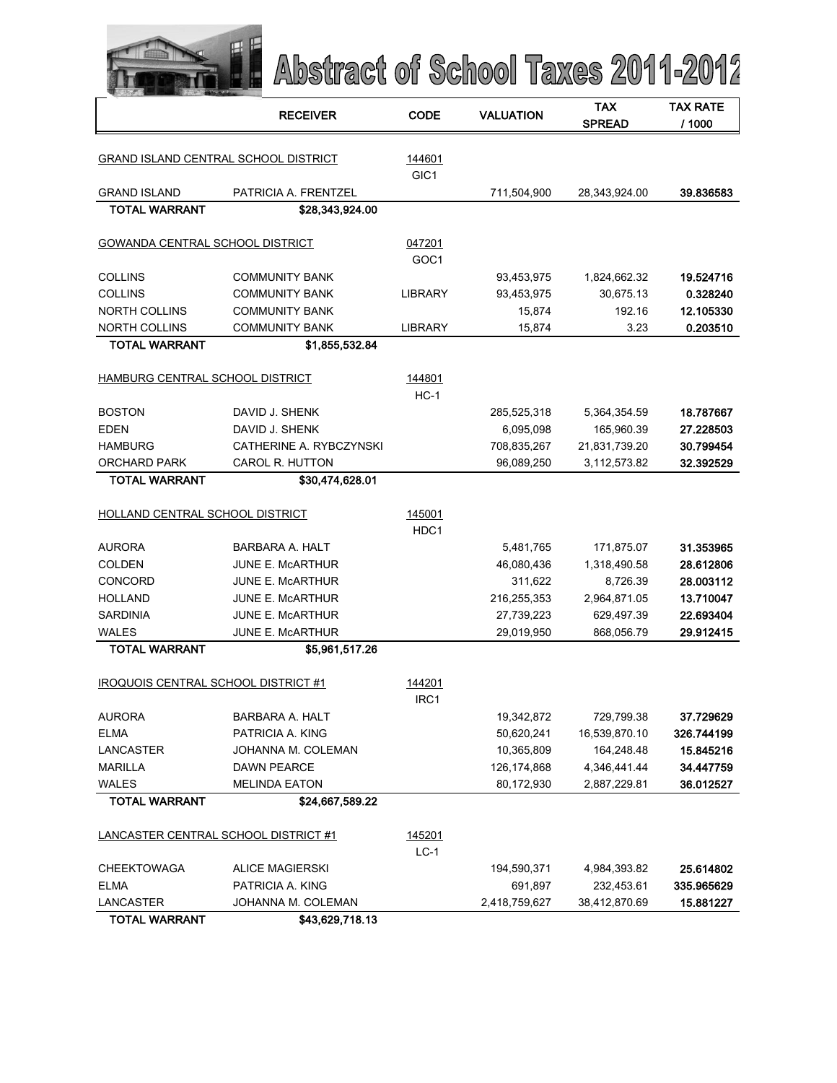|                                      | Abstract of School Taxes 2011-2012 |                            |                  |                             |                           |
|--------------------------------------|------------------------------------|----------------------------|------------------|-----------------------------|---------------------------|
|                                      | <b>RECEIVER</b>                    | <b>CODE</b>                | <b>VALUATION</b> | <b>TAX</b><br><b>SPREAD</b> | <b>TAX RATE</b><br>/ 1000 |
| GRAND ISLAND CENTRAL SCHOOL DISTRICT |                                    | 144601<br>GIC <sub>1</sub> |                  |                             |                           |
| <b>GRAND ISLAND</b>                  | PATRICIA A. FRENTZEL               |                            | 711,504,900      | 28,343,924.00               | 39.836583                 |
| <b>TOTAL WARRANT</b>                 | \$28,343,924.00                    |                            |                  |                             |                           |
|                                      |                                    |                            |                  |                             |                           |
| GOWANDA CENTRAL SCHOOL DISTRICT      |                                    | 047201<br>GOC <sub>1</sub> |                  |                             |                           |
| <b>COLLINS</b>                       | <b>COMMUNITY BANK</b>              |                            | 93,453,975       | 1,824,662.32                | 19.524716                 |
| <b>COLLINS</b>                       | <b>COMMUNITY BANK</b>              | <b>LIBRARY</b>             | 93,453,975       | 30,675.13                   | 0.328240                  |
| <b>NORTH COLLINS</b>                 | <b>COMMUNITY BANK</b>              |                            | 15.874           | 192.16                      | 12.105330                 |
| NORTH COLLINS                        | <b>COMMUNITY BANK</b>              | <b>LIBRARY</b>             | 15,874           | 3.23                        | 0.203510                  |
| <b>TOTAL WARRANT</b>                 | \$1,855,532.84                     |                            |                  |                             |                           |
| HAMBURG CENTRAL SCHOOL DISTRICT      |                                    | 144801<br>$HC-1$           |                  |                             |                           |
| <b>BOSTON</b>                        | DAVID J. SHENK                     |                            | 285,525,318      | 5,364,354.59                | 18.787667                 |
| <b>EDEN</b>                          | DAVID J. SHENK                     |                            | 6,095,098        | 165,960.39                  | 27.228503                 |
| <b>HAMBURG</b>                       | CATHERINE A. RYBCZYNSKI            |                            | 708,835,267      | 21,831,739.20               | 30.799454                 |
| <b>ORCHARD PARK</b>                  | <b>CAROL R. HUTTON</b>             |                            | 96,089,250       | 3,112,573.82                | 32.392529                 |
| <b>TOTAL WARRANT</b>                 | \$30,474,628.01                    |                            |                  |                             |                           |
| HOLLAND CENTRAL SCHOOL DISTRICT      |                                    | 145001                     |                  |                             |                           |
|                                      |                                    | HDC1                       |                  |                             |                           |
| <b>AURORA</b>                        | <b>BARBARA A. HALT</b>             |                            | 5,481,765        | 171,875.07                  | 31.353965                 |
| <b>COLDEN</b>                        | <b>JUNE E. MCARTHUR</b>            |                            | 46,080,436       | 1,318,490.58                | 28.612806                 |
| CONCORD                              | <b>JUNE E. MCARTHUR</b>            |                            | 311,622          | 8,726.39                    | 28.003112                 |
| <b>HOLLAND</b>                       | <b>JUNE E. MCARTHUR</b>            |                            | 216,255,353      | 2,964,871.05                | 13.710047                 |
| <b>SARDINIA</b>                      | <b>JUNE E. MCARTHUR</b>            |                            | 27,739,223       | 629,497.39                  | 22.693404                 |
| <b>WALES</b>                         | <b>JUNE E. MCARTHUR</b>            |                            | 29,019,950       | 868,056.79                  | 29.912415                 |
| <b>TOTAL WARRANT</b>                 | \$5,961,517.26                     |                            |                  |                             |                           |
| IROQUOIS CENTRAL SCHOOL DISTRICT #1  |                                    | 144201<br>IRC1             |                  |                             |                           |
| <b>AURORA</b>                        | BARBARA A. HALT                    |                            | 19,342,872       | 729,799.38                  | 37.729629                 |
| <b>ELMA</b>                          | PATRICIA A. KING                   |                            | 50,620,241       | 16,539,870.10               | 326.744199                |
| <b>LANCASTER</b>                     | JOHANNA M. COLEMAN                 |                            | 10,365,809       | 164,248.48                  | 15.845216                 |
| <b>MARILLA</b>                       | <b>DAWN PEARCE</b>                 |                            | 126, 174, 868    | 4,346,441.44                | 34.447759                 |
| <b>WALES</b>                         | <b>MELINDA EATON</b>               |                            | 80,172,930       | 2,887,229.81                | 36.012527                 |
| <b>TOTAL WARRANT</b>                 | \$24,667,589.22                    |                            |                  |                             |                           |
| LANCASTER CENTRAL SCHOOL DISTRICT #1 |                                    | 145201<br>$LC-1$           |                  |                             |                           |
| <b>CHEEKTOWAGA</b>                   | <b>ALICE MAGIERSKI</b>             |                            | 194,590,371      | 4,984,393.82                | 25.614802                 |
| <b>ELMA</b>                          | PATRICIA A. KING                   |                            | 691,897          | 232,453.61                  | 335.965629                |
| LANCASTER                            | JOHANNA M. COLEMAN                 |                            | 2,418,759,627    | 38,412,870.69               | 15.881227                 |
| <b>TOTAL WARRANT</b>                 | \$43,629,718.13                    |                            |                  |                             |                           |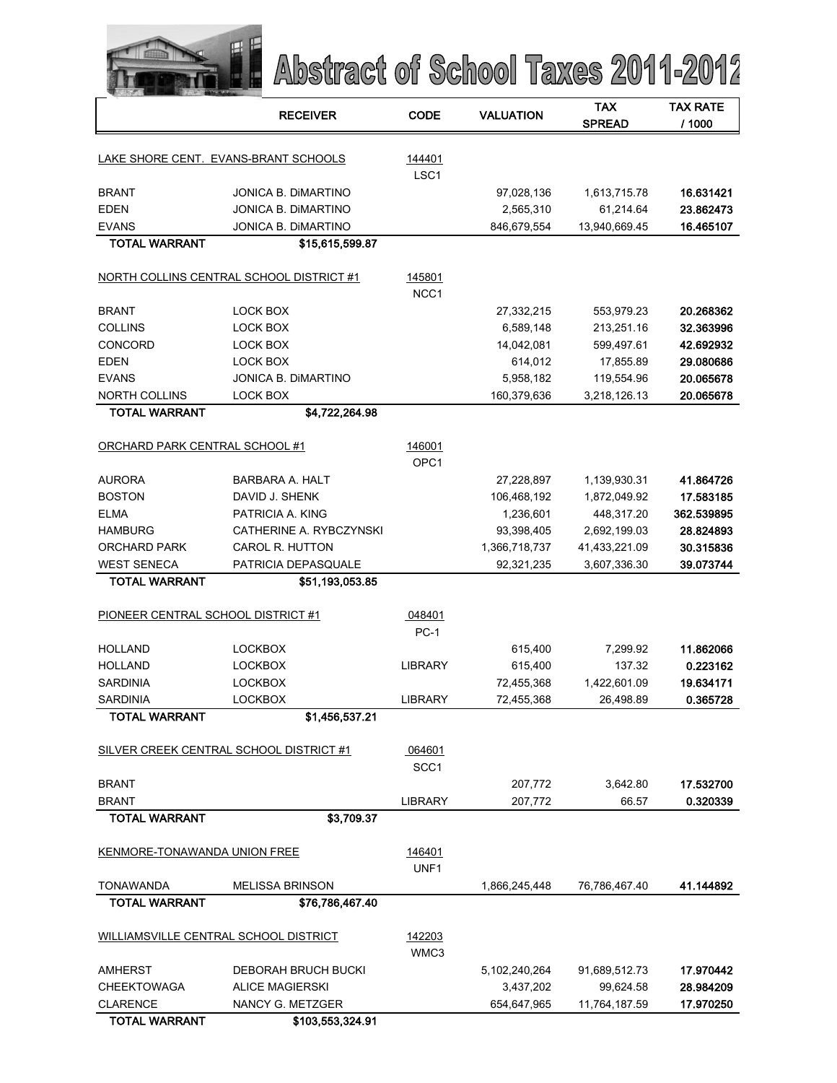|                                    | Abstract of School Taxes 2011-2012             |                            |                  |                             |                           |
|------------------------------------|------------------------------------------------|----------------------------|------------------|-----------------------------|---------------------------|
|                                    | <b>RECEIVER</b>                                | <b>CODE</b>                | <b>VALUATION</b> | <b>TAX</b><br><b>SPREAD</b> | <b>TAX RATE</b><br>/ 1000 |
|                                    | LAKE SHORE CENT. EVANS-BRANT SCHOOLS           | 144401                     |                  |                             |                           |
|                                    |                                                | LSC <sub>1</sub>           |                  |                             |                           |
| <b>BRANT</b>                       | <b>JONICA B. DIMARTINO</b>                     |                            | 97,028,136       | 1,613,715.78                | 16.631421                 |
| <b>EDEN</b>                        | JONICA B. DIMARTINO                            |                            | 2,565,310        | 61,214.64                   | 23.862473                 |
| <b>EVANS</b>                       | <b>JONICA B. DIMARTINO</b>                     |                            | 846,679,554      | 13,940,669.45               | 16.465107                 |
| <b>TOTAL WARRANT</b>               | \$15,615,599.87                                |                            |                  |                             |                           |
|                                    | NORTH COLLINS CENTRAL SCHOOL DISTRICT #1       | 145801<br>NCC <sub>1</sub> |                  |                             |                           |
| <b>BRANT</b>                       | LOCK BOX                                       |                            | 27,332,215       | 553,979.23                  | 20.268362                 |
| <b>COLLINS</b>                     | <b>LOCK BOX</b>                                |                            | 6,589,148        | 213,251.16                  | 32.363996                 |
| <b>CONCORD</b>                     | LOCK BOX                                       |                            | 14,042,081       | 599,497.61                  | 42.692932                 |
| <b>EDEN</b>                        | LOCK BOX                                       |                            | 614,012          | 17,855.89                   | 29.080686                 |
| <b>FVANS</b>                       | JONICA B. DIMARTINO                            |                            | 5,958,182        | 119,554.96                  | 20.065678                 |
| <b>NORTH COLLINS</b>               | LOCK BOX                                       |                            | 160,379,636      | 3,218,126.13                | 20.065678                 |
| <b>TOTAL WARRANT</b>               | \$4,722,264.98                                 |                            |                  |                             |                           |
| ORCHARD PARK CENTRAL SCHOOL #1     |                                                | 146001<br>OPC <sub>1</sub> |                  |                             |                           |
| <b>AURORA</b>                      | <b>BARBARA A. HALT</b>                         |                            | 27,228,897       | 1,139,930.31                | 41.864726                 |
| <b>BOSTON</b>                      | DAVID J. SHENK                                 |                            | 106,468,192      | 1,872,049.92                | 17.583185                 |
| <b>ELMA</b>                        | PATRICIA A. KING                               |                            | 1,236,601        | 448,317.20                  | 362.539895                |
| <b>HAMBURG</b>                     | CATHERINE A. RYBCZYNSKI                        |                            | 93,398,405       | 2,692,199.03                | 28.824893                 |
| ORCHARD PARK                       | CAROL R. HUTTON                                |                            | 1,366,718,737    | 41,433,221.09               | 30.315836                 |
| <b>WEST SENECA</b>                 | PATRICIA DEPASQUALE                            |                            | 92,321,235       | 3,607,336.30                | 39.073744                 |
| <b>TOTAL WARRANT</b>               | \$51,193,053.85                                |                            |                  |                             |                           |
| PIONEER CENTRAL SCHOOL DISTRICT #1 |                                                | 048401<br>$PC-1$           |                  |                             |                           |
| <b>HOLLAND</b>                     | <b>LOCKBOX</b>                                 |                            | 615,400          | 7,299.92                    | 11.862066                 |
| <b>HOLLAND</b>                     | <b>LOCKBOX</b>                                 | LIBRARY                    | 615,400          | 137.32                      | 0.223162                  |
| <b>SARDINIA</b>                    | <b>LOCKBOX</b>                                 |                            | 72,455,368       | 1,422,601.09                | 19.634171                 |
| <b>SARDINIA</b>                    | <b>LOCKBOX</b>                                 | <b>LIBRARY</b>             | 72,455,368       | 26,498.89                   | 0.365728                  |
| <b>TOTAL WARRANT</b>               | \$1,456,537.21                                 |                            |                  |                             |                           |
|                                    | <b>SILVER CREEK CENTRAL SCHOOL DISTRICT #1</b> | 064601<br>SCC <sub>1</sub> |                  |                             |                           |
| <b>BRANT</b>                       |                                                |                            | 207,772          | 3,642.80                    | 17.532700                 |
| <b>BRANT</b>                       |                                                | <b>LIBRARY</b>             | 207,772          | 66.57                       | 0.320339                  |
| <b>TOTAL WARRANT</b>               | \$3,709.37                                     |                            |                  |                             |                           |
| KENMORE-TONAWANDA UNION FREE       |                                                | 146401<br>UNF1             |                  |                             |                           |
| TONAWANDA                          | <b>MELISSA BRINSON</b>                         |                            | 1,866,245,448    | 76,786,467.40               | 41.144892                 |
| <b>TOTAL WARRANT</b>               | \$76,786,467.40                                |                            |                  |                             |                           |
|                                    | WILLIAMSVILLE CENTRAL SCHOOL DISTRICT          | 142203<br>WMC3             |                  |                             |                           |
| <b>AMHERST</b>                     | DEBORAH BRUCH BUCKI                            |                            | 5,102,240,264    | 91,689,512.73               | 17.970442                 |
| <b>CHEEKTOWAGA</b>                 | ALICE MAGIERSKI                                |                            | 3,437,202        | 99,624.58                   | 28.984209                 |
| <b>CLARENCE</b>                    | NANCY G. METZGER                               |                            | 654,647,965      | 11,764,187.59               | 17.970250                 |
| <b>TOTAL WARRANT</b>               | \$103,553,324.91                               |                            |                  |                             |                           |